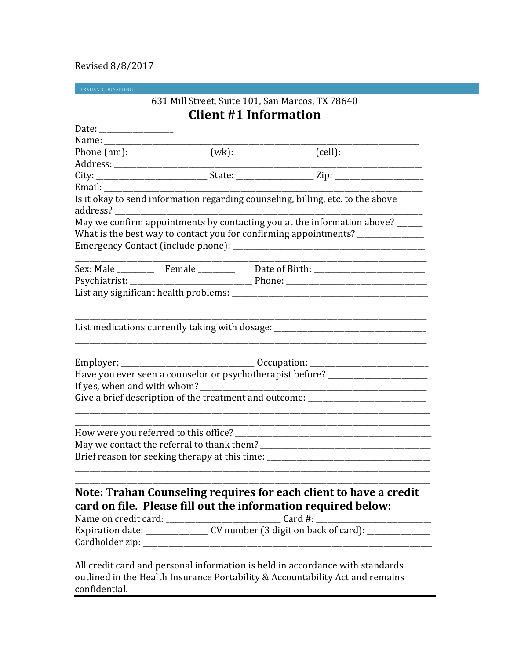# Revised 8/8/2017

TRAHAN COUNSELING

# 631 Mill Street, Suite 101, San Marcos, TX 78640 **Client #1 Information**

|  | Phone (hm): ____________________ (wk): _________________ (cell): ________________                                                  |
|--|------------------------------------------------------------------------------------------------------------------------------------|
|  |                                                                                                                                    |
|  |                                                                                                                                    |
|  |                                                                                                                                    |
|  | Is it okay to send information regarding counseling, billing, etc. to the above                                                    |
|  | May we confirm appointments by contacting you at the information above? _____                                                      |
|  | What is the best way to contact you for confirming appointments? _______________                                                   |
|  |                                                                                                                                    |
|  |                                                                                                                                    |
|  |                                                                                                                                    |
|  |                                                                                                                                    |
|  | List medications currently taking with dosage: _________________________________                                                   |
|  | Employer: ___________________________________ Occupation: ______________________                                                   |
|  | Have you ever seen a counselor or psychotherapist before? ______________________                                                   |
|  |                                                                                                                                    |
|  | Give a brief description of the treatment and outcome: _________________________                                                   |
|  |                                                                                                                                    |
|  |                                                                                                                                    |
|  | Brief reason for seeking therapy at this time: _________________________________                                                   |
|  |                                                                                                                                    |
|  | Note: Trahan Counseling requires for each client to have a credit<br>card on file. Please fill out the information required below: |
|  |                                                                                                                                    |
|  |                                                                                                                                    |

All credit card and personal information is held in accordance with standards outlined in the Health Insurance Portability & Accountability Act and remains confidential.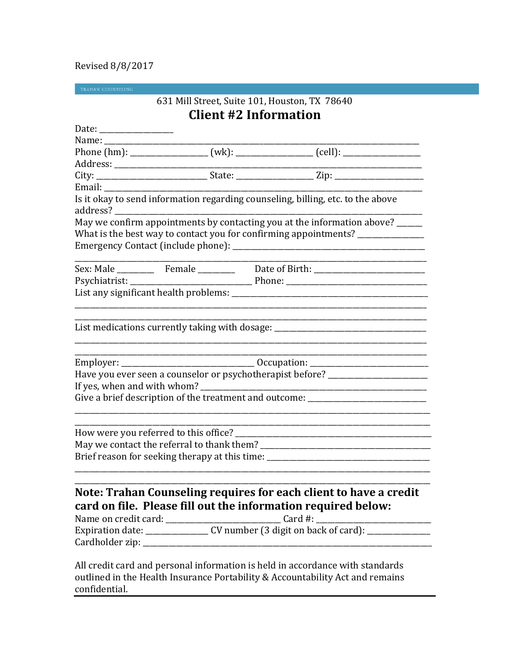# Revised 8/8/2017

TRAHAN COUNSELING

| 631 Mill Street, Suite 101, Houston, TX 78640 |  |
|-----------------------------------------------|--|
| <b>Client #2 Information</b>                  |  |

| Email: |                                                                                                                                    |
|--------|------------------------------------------------------------------------------------------------------------------------------------|
|        | Is it okay to send information regarding counseling, billing, etc. to the above                                                    |
|        | May we confirm appointments by contacting you at the information above? _____                                                      |
|        | What is the best way to contact you for confirming appointments? ______________                                                    |
|        |                                                                                                                                    |
|        |                                                                                                                                    |
|        |                                                                                                                                    |
|        |                                                                                                                                    |
|        | List medications currently taking with dosage: _________________________________                                                   |
|        | Employer: ___________________________________ Occupation: ______________________                                                   |
|        | Have you ever seen a counselor or psychotherapist before? ______________________                                                   |
|        |                                                                                                                                    |
|        | Give a brief description of the treatment and outcome: _________________________                                                   |
|        |                                                                                                                                    |
|        |                                                                                                                                    |
|        | Brief reason for seeking therapy at this time: _________________________________                                                   |
|        |                                                                                                                                    |
|        | Note: Trahan Counseling requires for each client to have a credit<br>card on file. Please fill out the information required below: |
|        |                                                                                                                                    |
|        |                                                                                                                                    |
|        |                                                                                                                                    |

All credit card and personal information is held in accordance with standards outlined in the Health Insurance Portability & Accountability Act and remains confidential.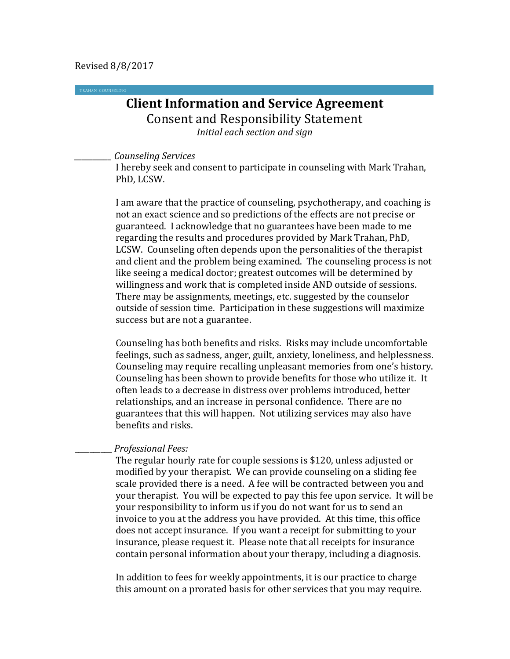# **Client Information and Service Agreement** Consent and Responsibility Statement *Initial each section and sign*

*\_\_\_\_\_\_\_\_\_\_ Counseling Services*

I hereby seek and consent to participate in counseling with Mark Trahan, PhD, LCSW.

I am aware that the practice of counseling, psychotherapy, and coaching is not an exact science and so predictions of the effects are not precise or guaranteed. I acknowledge that no guarantees have been made to me regarding the results and procedures provided by Mark Trahan, PhD, LCSW. Counseling often depends upon the personalities of the therapist and client and the problem being examined. The counseling process is not like seeing a medical doctor; greatest outcomes will be determined by willingness and work that is completed inside AND outside of sessions. There may be assignments, meetings, etc. suggested by the counselor outside of session time. Participation in these suggestions will maximize success but are not a guarantee.

Counseling has both benefits and risks. Risks may include uncomfortable feelings, such as sadness, anger, guilt, anxiety, loneliness, and helplessness. Counseling may require recalling unpleasant memories from one's history. Counseling has been shown to provide benefits for those who utilize it. It often leads to a decrease in distress over problems introduced, better relationships, and an increase in personal confidence. There are no guarantees that this will happen. Not utilizing services may also have benefits and risks.

\_\_\_\_\_\_\_\_\_\_ *Professional Fees:*

The regular hourly rate for couple sessions is \$120, unless adjusted or modified by your therapist. We can provide counseling on a sliding fee scale provided there is a need. A fee will be contracted between you and your therapist. You will be expected to pay this fee upon service. It will be your responsibility to inform us if you do not want for us to send an invoice to you at the address you have provided. At this time, this office does not accept insurance. If you want a receipt for submitting to your insurance, please request it. Please note that all receipts for insurance contain personal information about your therapy, including a diagnosis.

In addition to fees for weekly appointments, it is our practice to charge this amount on a prorated basis for other services that you may require.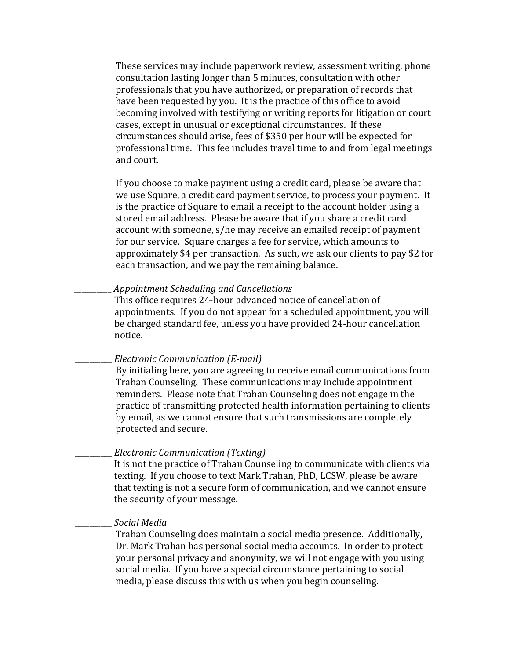These services may include paperwork review, assessment writing, phone consultation lasting longer than 5 minutes, consultation with other professionals that you have authorized, or preparation of records that have been requested by you. It is the practice of this office to avoid becoming involved with testifying or writing reports for litigation or court cases, except in unusual or exceptional circumstances. If these circumstances should arise, fees of \$350 per hour will be expected for professional time. This fee includes travel time to and from legal meetings and court.

If you choose to make payment using a credit card, please be aware that we use Square, a credit card payment service, to process your payment. It is the practice of Square to email a receipt to the account holder using a stored email address. Please be aware that if you share a credit card account with someone, s/he may receive an emailed receipt of payment for our service. Square charges a fee for service, which amounts to approximately \$4 per transaction. As such, we ask our clients to pay \$2 for each transaction, and we pay the remaining balance.

### \_\_\_\_\_\_\_\_\_\_ *Appointment Scheduling and Cancellations*

This office requires 24-hour advanced notice of cancellation of appointments. If you do not appear for a scheduled appointment, you will be charged standard fee, unless you have provided 24-hour cancellation notice.

#### \_\_\_\_\_\_\_\_\_\_ *Electronic Communication (E-mail)*

By initialing here, you are agreeing to receive email communications from Trahan Counseling. These communications may include appointment reminders. Please note that Trahan Counseling does not engage in the practice of transmitting protected health information pertaining to clients by email, as we cannot ensure that such transmissions are completely protected and secure.

#### \_\_\_\_\_\_\_\_\_\_ *Electronic Communication (Texting)*

It is not the practice of Trahan Counseling to communicate with clients via texting. If you choose to text Mark Trahan, PhD, LCSW, please be aware that texting is not a secure form of communication, and we cannot ensure the security of your message.

#### \_\_\_\_\_\_\_\_\_\_ *Social Media*

Trahan Counseling does maintain a social media presence. Additionally, Dr. Mark Trahan has personal social media accounts. In order to protect your personal privacy and anonymity, we will not engage with you using social media. If you have a special circumstance pertaining to social media, please discuss this with us when you begin counseling.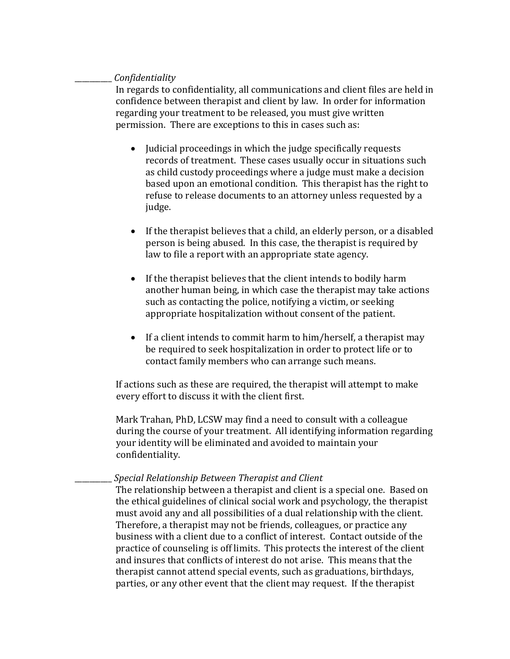## \_\_\_\_\_\_\_\_\_\_ *Confidentiality*

In regards to confidentiality, all communications and client files are held in confidence between therapist and client by law. In order for information regarding your treatment to be released, you must give written permission. There are exceptions to this in cases such as:

- Judicial proceedings in which the judge specifically requests records of treatment. These cases usually occur in situations such as child custody proceedings where a judge must make a decision based upon an emotional condition. This therapist has the right to refuse to release documents to an attorney unless requested by a judge.
- If the therapist believes that a child, an elderly person, or a disabled person is being abused. In this case, the therapist is required by law to file a report with an appropriate state agency.
- If the therapist believes that the client intends to bodily harm another human being, in which case the therapist may take actions such as contacting the police, notifying a victim, or seeking appropriate hospitalization without consent of the patient.
- If a client intends to commit harm to him/herself, a therapist may be required to seek hospitalization in order to protect life or to contact family members who can arrange such means.

 If actions such as these are required, the therapist will attempt to make every effort to discuss it with the client first.

 Mark Trahan, PhD, LCSW may find a need to consult with a colleague during the course of your treatment. All identifying information regarding your identity will be eliminated and avoided to maintain your confidentiality.

## \_\_\_\_\_\_\_\_\_\_ *Special Relationship Between Therapist and Client*

The relationship between a therapist and client is a special one. Based on the ethical guidelines of clinical social work and psychology, the therapist must avoid any and all possibilities of a dual relationship with the client. Therefore, a therapist may not be friends, colleagues, or practice any business with a client due to a conflict of interest. Contact outside of the practice of counseling is off limits. This protects the interest of the client and insures that conflicts of interest do not arise. This means that the therapist cannot attend special events, such as graduations, birthdays, parties, or any other event that the client may request. If the therapist